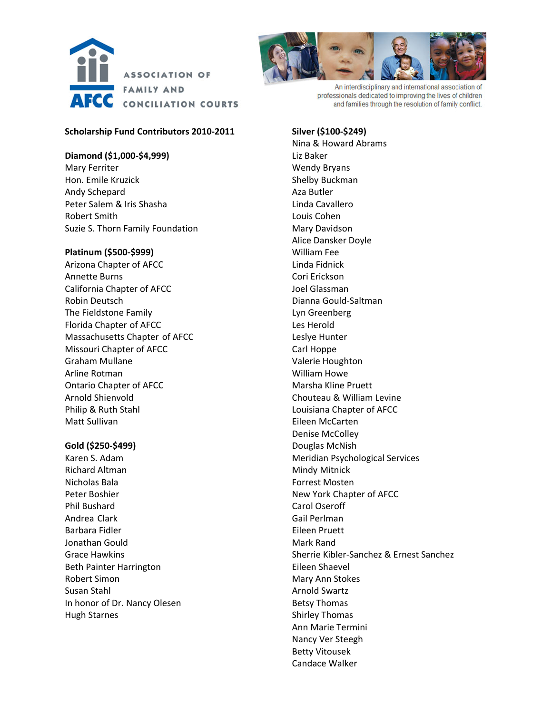



An interdisciplinary and international association of professionals dedicated to improving the lives of children and families through the resolution of family conflict.

## **Scholarship Fund Contributors 2010‐2011**

### **Diamond (\$1,000‐\$4,999)**

Mary Ferriter Hon. Emile Kruzick Andy Schepard Peter Salem & Iris Shasha Robert Smith Suzie S. Thorn Family Foundation

#### **Platinum (\$500‐\$999)**

Arizona Chapter of AFCC Annette Burns California Chapter of AFCC Robin Deutsch The Fieldstone Family Florida Chapter of AFCC Massachusetts Chapter of AFCC Missouri Chapter of AFCC Graham Mullane Arline Rotman Ontario Chapter of AFCC Arnold Shienvold Philip & Ruth Stahl Matt Sullivan

## **Gold (\$250‐\$499)**

Karen S. Adam Richard Altman Nicholas Bala Peter Boshier Phil Bushard Andrea Clark Barbara Fidler Jonathan Gould Grace Hawkins Beth Painter Harrington Robert Simon Susan Stahl In honor of Dr. Nancy Olesen Hugh Starnes

**Silver (\$100‐\$249)** Nina & Howard Abrams Liz Baker Wendy Bryans Shelby Buckman Aza Butler Linda Cavallero Louis Cohen Mary Davidson Alice Dansker Doyle William Fee Linda Fidnick Cori Erickson Joel Glassman Dianna Gould‐Saltman Lyn Greenberg Les Herold Leslye Hunter Carl Hoppe Valerie Houghton William Howe Marsha Kline Pruett Chouteau & William Levine Louisiana Chapter of AFCC Eileen McCarten Denise McColley Douglas McNish Meridian Psychological Services Mindy Mitnick Forrest Mosten New York Chapter of AFCC Carol Oseroff Gail Perlman Eileen Pruett Mark Rand Sherrie Kibler‐Sanchez & Ernest Sanchez Eileen Shaevel Mary Ann Stokes Arnold Swartz Betsy Thomas Shirley Thomas Ann Marie Termini Nancy Ver Steegh Betty Vitousek

Candace Walker